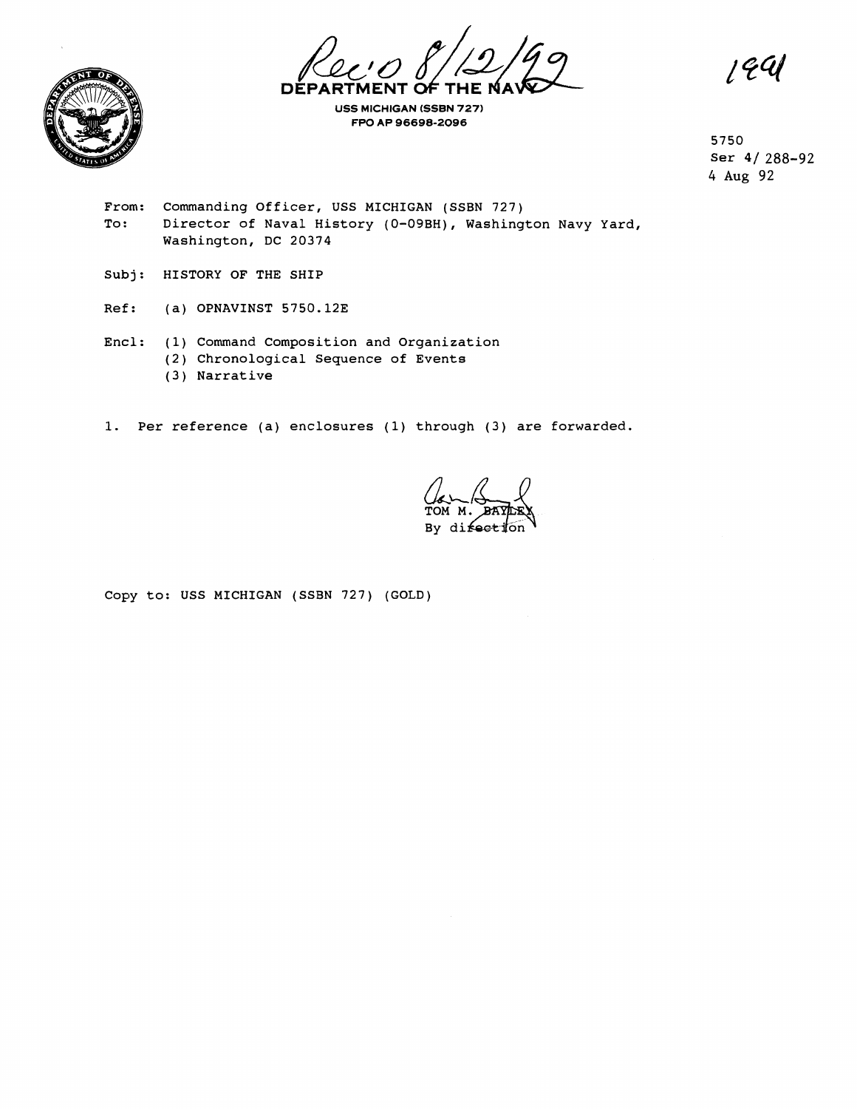**DEPARTMENT OF** 



**USS MICHIGAN (SSBN 727) FPO AP 96698-2096** 

194

5750 ser 41 288-92 4 **Aug** 92

- From: Commanding Officer, USS MICHIGAN (SSBN 727)<br>To: Director of Naval History (0-09BH), Washing Director of Naval History (0-09BH), Washington Navy Yard, Washington, DC 20374
- Subj: HISTORY OF THE SHIP
- Ref: (a) OPNAVINST 5750.12E
- Encl: (1) Command Composition and Organization
	- (2) Chronological Sequence of Events
	- ( 3 ) Narrative
- **1.** Per reference (a) enclosures (1) through (3) are forwarded.

**By** difecti

Copy to: USS MICHIGAN (SSBN 727) (GOLD)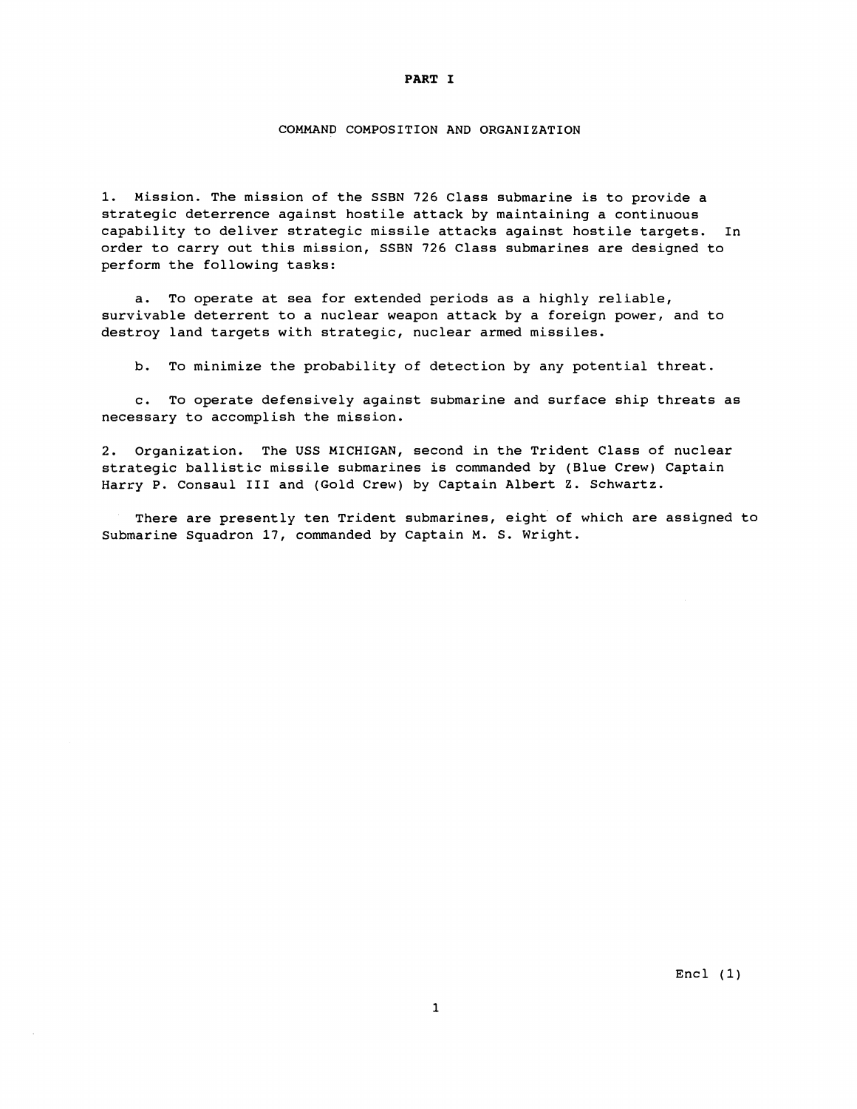#### **PART I**

#### COMMAND COMPOSITION AND ORGANIZATION

1. Mission. The mission of the SSBN 726 Class submarine is to provide a strategic deterrence against hostile attack by maintaining a continuous capability to deliver strategic missile attacks against hostile targets. In order to carry out this mission, SSBN 726 Class submarines are designed to perform the following tasks:

a. To operate at sea for extended periods as a highly reliable, survivable deterrent to a nuclear weapon attack by a foreign power, and to destroy land targets with strategic, nuclear armed missiles.

b. To minimize the probability of detection by any potential threat.

c. To operate defensively against submarine and surface ship threats as necessary to accomplish the mission.

2. Organization. The USS MICHIGAN, second in the Trident Class of nuclear strategic ballistic missile submarines is commanded by (Blue Crew) Captain Harry P. Consaul I11 and (Gold Crew) by Captain Albert Z. Schwartz.

There are presently ten Trident submarines, eight of which are assigned to Submarine Squadron 17, commanded by Captain M. S. Wright.

 $Encl (1)$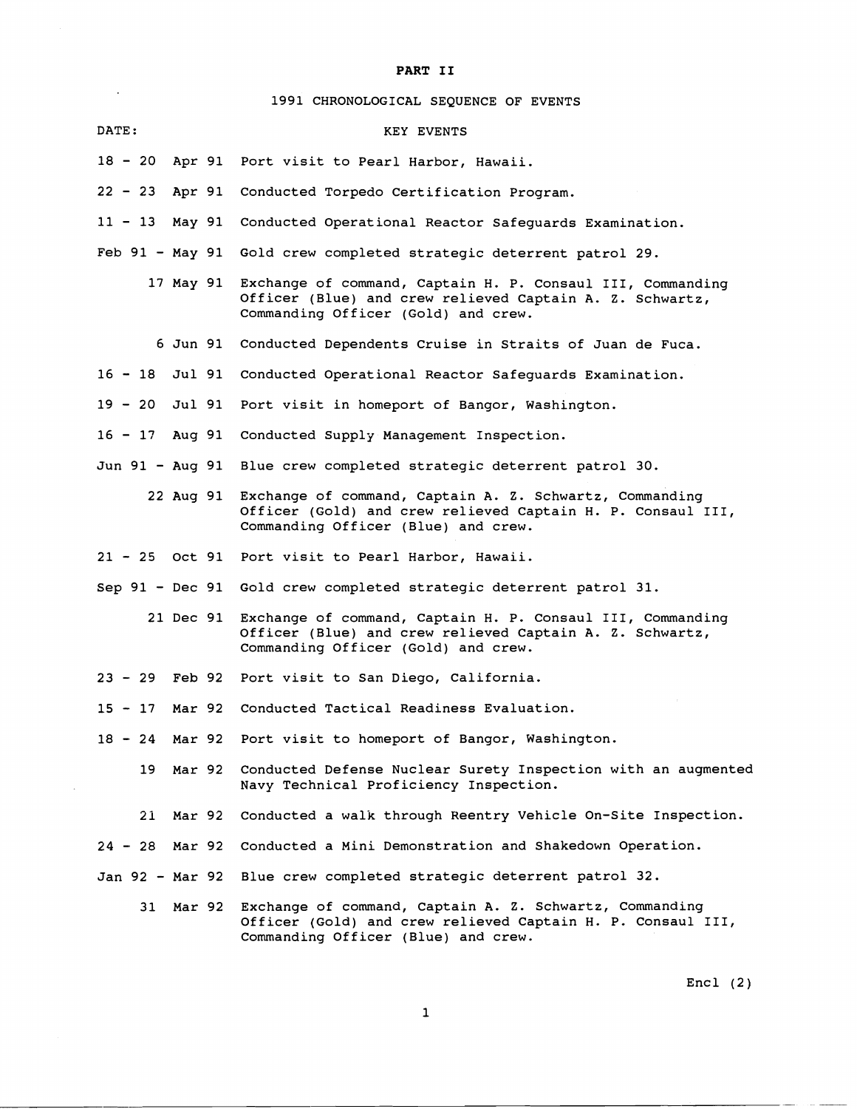# **PART I1**

**1991** CHRONOLOGICAL SEQUENCE OF EVENTS

 $\overline{a}$ 

 $\sim$ 

| <b>DATE:</b>    |        | KEY EVENTS                                                                                                                                                              |
|-----------------|--------|-------------------------------------------------------------------------------------------------------------------------------------------------------------------------|
|                 |        | 18 - 20 Apr 91 Port visit to Pearl Harbor, Hawaii.                                                                                                                      |
|                 |        | 22 - 23 Apr 91 Conducted Torpedo Certification Program.                                                                                                                 |
| $11 - 13$       |        | May 91 Conducted Operational Reactor Safeguards Examination.                                                                                                            |
|                 |        | Feb 91 - May 91 Gold crew completed strategic deterrent patrol 29.                                                                                                      |
|                 |        | 17 May 91 Exchange of command, Captain H. P. Consaul III, Commanding<br>Officer (Blue) and crew relieved Captain A. Z. Schwartz,<br>Commanding Officer (Gold) and crew. |
|                 |        | 6 Jun 91 Conducted Dependents Cruise in Straits of Juan de Fuca.                                                                                                        |
| 16 - 18 Jul 91  |        | Conducted Operational Reactor Safeguards Examination.                                                                                                                   |
| $19 - 20$       | Jul 91 | Port visit in homeport of Bangor, Washington.                                                                                                                           |
|                 |        | 16 - 17 Aug 91 Conducted Supply Management Inspection.                                                                                                                  |
|                 |        | Jun 91 - Aug 91 Blue crew completed strategic deterrent patrol 30.                                                                                                      |
|                 |        | 22 Aug 91 Exchange of command, Captain A. Z. Schwartz, Commanding<br>Officer (Gold) and crew relieved Captain H. P. Consaul III,<br>Commanding Officer (Blue) and crew. |
|                 |        | 21 - 25 Oct 91 Port visit to Pearl Harbor, Hawaii.                                                                                                                      |
|                 |        | Sep 91 - Dec 91 Gold crew completed strategic deterrent patrol 31.                                                                                                      |
|                 |        | 21 Dec 91 Exchange of command, Captain H. P. Consaul III, Commanding<br>Officer (Blue) and crew relieved Captain A. Z. Schwartz,<br>Commanding Officer (Gold) and crew. |
|                 |        | 23 - 29 Feb 92 Port visit to San Diego, California.                                                                                                                     |
| $15 - 17$       |        | Mar 92 Conducted Tactical Readiness Evaluation.                                                                                                                         |
|                 |        | 18 - 24 Mar 92 Port visit to homeport of Bangor, Washington.                                                                                                            |
| 19              | Mar 92 | Conducted Defense Nuclear Surety Inspection with an augmented<br>Navy Technical Proficiency Inspection.                                                                 |
| 21              |        | Mar 92 Conducted a walk through Reentry Vehicle On-Site Inspection.                                                                                                     |
| 24 - 28 Mar 92  |        | Conducted a Mini Demonstration and Shakedown Operation.                                                                                                                 |
| Jan 92 - Mar 92 |        | Blue crew completed strategic deterrent patrol 32.                                                                                                                      |
| 31              | Mar 92 | Exchange of command, Captain A. Z. Schwartz, Commanding<br>Officer (Gold) and crew relieved Captain H. P. Consaul III,<br>Commanding Officer (Blue) and crew.           |
|                 |        |                                                                                                                                                                         |

Encl **(2)** 

 $\overline{\phantom{a}}$  $\sim$   $\sim$   $\sim$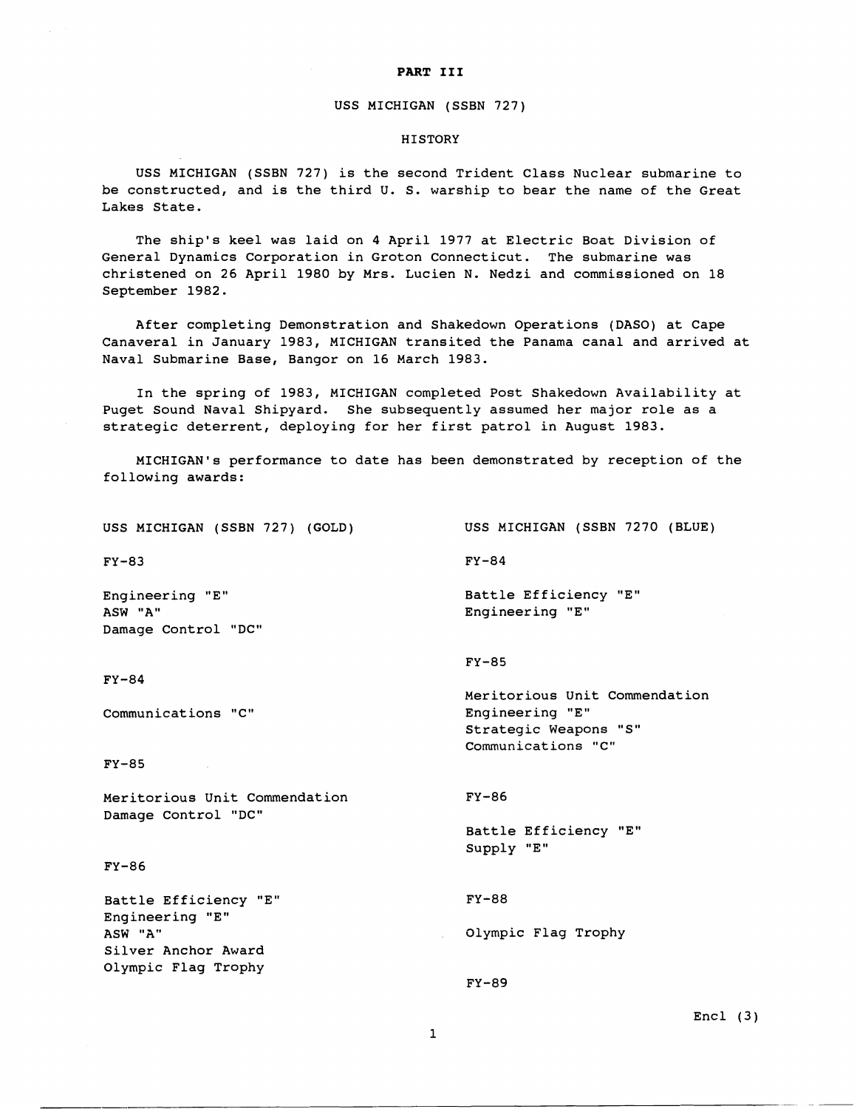#### **PART I11**

#### USS MICHIGAN (SSBN 727)

### **HISTORY**

USS MICHIGAN (SSBN 727) is the second Trident Class Nuclear submarine to be constructed, and is the third U. S. warship to bear the name of the Great Lakes State.

The ship's keel was laid on 4 April 1977 at Electric Boat Division of General Dynamics Corporation in Groton Connecticut. The submarine was christened on 26 April 1980 by Mrs. Lucien N. Nedzi and commissioned on 18 September 1982.

After completing Demonstration and Shakedown Operations (DASO) at Cape Canaveral in January 1983, MICHIGAN transited the Panama canal and arrived at Naval Submarine Base, Bangor on 16 March 1983.

In the spring of 1983, MICHIGAN completed Post Shakedown Availability at Puget Sound Naval Shipyard. She subsequently assumed her major role as a strategic deterrent, deploying for her first patrol in August 1983.

MICHIGAN'S performance to date has been demonstrated by reception of the following awards:

USS MICHIGAN (SSBN 7270 (BLUE) USS MICHIGAN (SSBN 727) (GOLD)  $FY-84$  $FY-83$ Battle Efficiency "E" Engineering "E" ASW "A" Engineering "E" Damage Control "DC"  $FY-85$  $FY-84$ Meritorious Unit Commendation Engineering **"E"**  Communications "C" Strategic Weapons "S" Communications "C"  $FY-85$  $FY-86$ Meritorious Unit Commendation Damage Control "DC" Battle Efficiency "E" Supply "E"  $FY-86$ Battle Efficiency "E" FY-88 Engineering "E" ASW' **"A"**  Olympic Flag Trophy Silver Anchor Award Olympic Flag Trophy  $FY-89$ 

### $Encl$  (3)